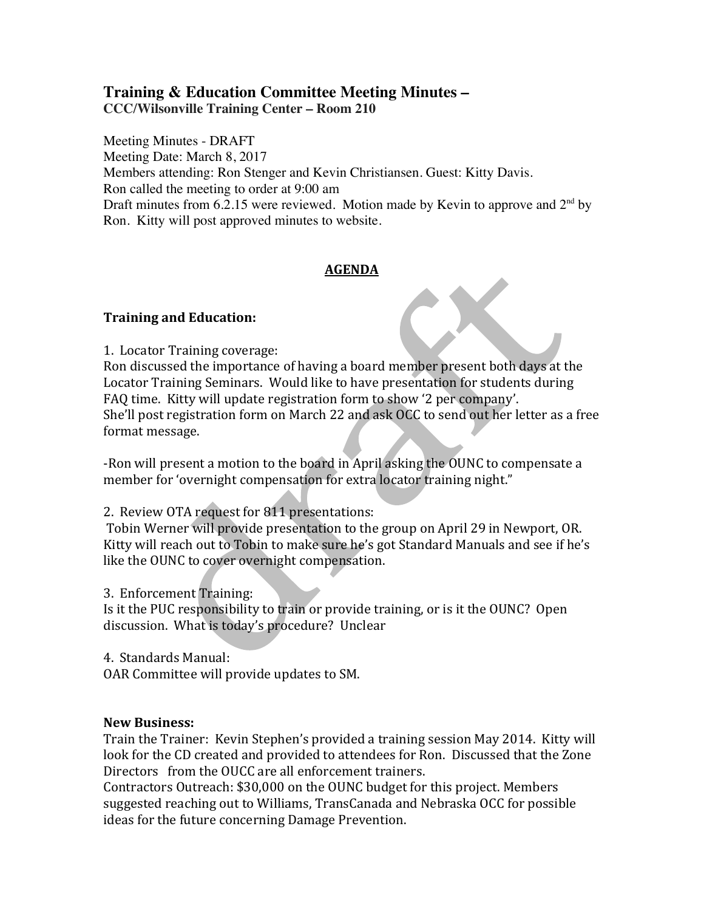# **Training & Education Committee Meeting Minutes – CCC/Wilsonville Training Center – Room 210**

Meeting Minutes - DRAFT Meeting Date: March 8, 2017 Members attending: Ron Stenger and Kevin Christiansen. Guest: Kitty Davis. Ron called the meeting to order at 9:00 am Draft minutes from 6.2.15 were reviewed. Motion made by Kevin to approve and  $2<sup>nd</sup>$  by Ron. Kitty will post approved minutes to website.

## **AGENDA**

## **Training and Education:**

1. Locator Training coverage:

Ron discussed the importance of having a board member present both days at the Locator Training Seminars. Would like to have presentation for students during FAQ time. Kitty will update registration form to show '2 per company'. She'll post registration form on March 22 and ask OCC to send out her letter as a free format message.

-Ron will present a motion to the board in April asking the OUNC to compensate a member for 'overnight compensation for extra locator training night."

2. Review OTA request for 811 presentations:

Tobin Werner will provide presentation to the group on April 29 in Newport, OR. Kitty will reach out to Tobin to make sure he's got Standard Manuals and see if he's like the OUNC to cover overnight compensation.

3. Enforcement Training:

Is it the PUC responsibility to train or provide training, or is it the OUNC? Open discussion. What is today's procedure? Unclear

4. Standards Manual:

OAR Committee will provide updates to SM.

#### **New Business:**

Train the Trainer: Kevin Stephen's provided a training session May 2014. Kitty will look for the CD created and provided to attendees for Ron. Discussed that the Zone Directors from the OUCC are all enforcement trainers.

Contractors Outreach: \$30,000 on the OUNC budget for this project. Members suggested reaching out to Williams, TransCanada and Nebraska OCC for possible ideas for the future concerning Damage Prevention.